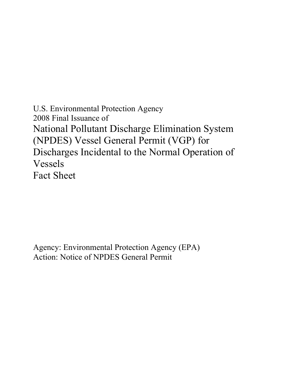U.S. Environmental Protection Agency 2008 Final Issuance of National Pollutant Discharge Elimination System (NPDES) Vessel General Permit (VGP) for Discharges Incidental to the Normal Operation of Vessels Fact Sheet

Agency: Environmental Protection Agency (EPA) Action: Notice of NPDES General Permit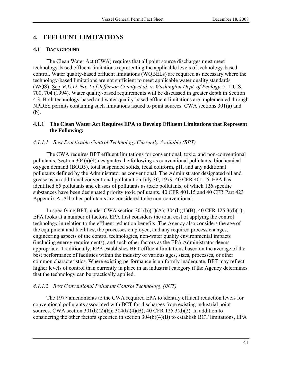# **4. EFFLUENT LIMITATIONS**

## **4.1 BACKGROUND**

The Clean Water Act (CWA) requires that all point source discharges must meet technology-based effluent limitations representing the applicable levels of technology-based control. Water quality-based effluent limitations (WQBELs) are required as necessary where the technology-based limitations are not sufficient to meet applicable water quality standards (WQS). See *P.U.D. No. 1 of Jefferson County et al. v. Washington Dept. of Ecology*, 511 U.S. 700, 704 (1994). Water quality-based requirements will be discussed in greater depth in Section 4.3. Both technology-based and water quality-based effluent limitations are implemented through NPDES permits containing such limitations issued to point sources. CWA sections 301(a) and (b).

### **4.1.1 The Clean Water Act Requires EPA to Develop Effluent Limitations that Represent the Following:**

### *4.1.1.1 Best Practicable Control Technology Currently Available (BPT)*

The CWA requires BPT effluent limitations for conventional, toxic, and non-conventional pollutants. Section 304(a)(4) designates the following as conventional pollutants: biochemical oxygen demand (BOD5), total suspended solids, fecal coliform, pH, and any additional pollutants defined by the Administrator as conventional. The Administrator designated oil and grease as an additional conventional pollutant on July 30, 1979. 40 CFR 401.16. EPA has identified 65 pollutants and classes of pollutants as toxic pollutants, of which 126 specific substances have been designated priority toxic pollutants. 40 CFR 401.15 and 40 CFR Part 423 Appendix A. All other pollutants are considered to be non-conventional.

In specifying BPT, under CWA section 301(b)(1)(A); 304(b)(1)(B); 40 CFR 125.3(d)(1), EPA looks at a number of factors. EPA first considers the total cost of applying the control technology in relation to the effluent reduction benefits. The Agency also considers the age of the equipment and facilities, the processes employed, and any required process changes, engineering aspects of the control technologies, non-water quality environmental impacts (including energy requirements), and such other factors as the EPA Administrator deems appropriate. Traditionally, EPA establishes BPT effluent limitations based on the average of the best performance of facilities within the industry of various ages, sizes, processes, or other common characteristics. Where existing performance is uniformly inadequate, BPT may reflect higher levels of control than currently in place in an industrial category if the Agency determines that the technology can be practically applied.

## *4.1.1.2 Best Conventional Pollutant Control Technology (BCT)*

The 1977 amendments to the CWA required EPA to identify effluent reduction levels for conventional pollutants associated with BCT for discharges from existing industrial point sources. CWA section 301(b)(2)(E); 304(b)(4)(B); 40 CFR 125.3(d)(2). In addition to considering the other factors specified in section 304(b)(4)(B) to establish BCT limitations, EPA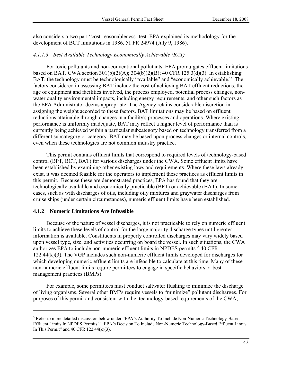also considers a two part "cost-reasonableness'' test. EPA explained its methodology for the development of BCT limitations in 1986. 51 FR 24974 (July 9, 1986).

### *4.1.1.3 Best Available Technology Economically Achievable (BAT)*

For toxic pollutants and non-conventional pollutants, EPA promulgates effluent limitations based on BAT. CWA section 301(b)(2)(A); 304(b)(2)(B); 40 CFR 125.3(d)(3). In establishing BAT, the technology must be technologically "available" and "economically achievable." The factors considered in assessing BAT include the cost of achieving BAT effluent reductions, the age of equipment and facilities involved, the process employed, potential process changes, nonwater quality environmental impacts, including energy requirements, and other such factors as the EPA Administrator deems appropriate. The Agency retains considerable discretion in assigning the weight accorded to these factors. BAT limitations may be based on effluent reductions attainable through changes in a facility's processes and operations. Where existing performance is uniformly inadequate, BAT may reflect a higher level of performance than is currently being achieved within a particular subcategory based on technology transferred from a different subcategory or category. BAT may be based upon process changes or internal controls, even when these technologies are not common industry practice.

This permit contains effluent limits that correspond to required levels of technology-based control (BPT, BCT, BAT) for various discharges under the CWA. Some effluent limits have been established by examining other existing laws and requirements. Where these laws already exist, it was deemed feasible for the operators to implement these practices as effluent limits in this permit. Because these are demonstrated practices, EPA has found that they are technologically available and economically practicable (BPT) or achievable (BAT). In some cases, such as with discharges of oils, including oily mixtures and graywater discharges from cruise ships (under certain circumstances), numeric effluent limits have been established.

#### **4.1.2 Numeric Limitations Are Infeasible**

1

Because of the nature of vessel discharges, it is not practicable to rely on numeric effluent limits to achieve these levels of control for the large majority discharge types until greater information is available. Constituents in properly controlled discharges may vary widely based upon vessel type, size, and activities occurring on board the vessel. In such situations, the CWA  $r_{\text{authorizes}}$  EPA to include non-numeric effluent limits in NPDES permits.<sup>[5](#page-2-0)</sup> 40 CFR 122.44(k)(3). The VGP includes such non-numeric effluent limits developed for discharges for which developing numeric effluent limits are infeasible to calculate at this time. Many of these non-numeric effluent limits require permittees to engage in specific behaviors or best management practices (BMPs).

For example, some permittees must conduct saltwater flushing to minimize the discharge of living organisms. Several other BMPs require vessels to "minimize" pollutant discharges. For purposes of this permit and consistent with the technology-based requirements of the CWA,

<span id="page-2-0"></span><sup>&</sup>lt;sup>5</sup> Refer to more detailed discussion below under "EPA's Authority To Include Non-Numeric Technology-Based Effluent Limits In NPDES Permits," "EPA's Decision To Include Non-Numeric Technology-Based Effluent Limits In This Permit" and 40 CFR 122.44(k)(3).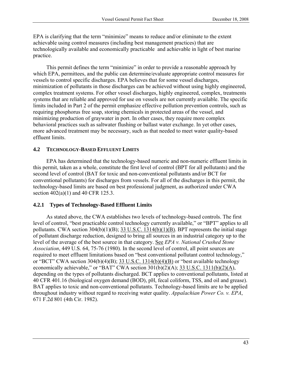EPA is clarifying that the term "minimize" means to reduce and/or eliminate to the extent achievable using control measures (including best management practices) that are technologically available and economically practicable and achievable in light of best marine practice.

This permit defines the term "minimize" in order to provide a reasonable approach by which EPA, permittees, and the public can determine/evaluate appropriate control measures for vessels to control specific discharges. EPA believes that for some vessel discharges, minimization of pollutants in those discharges can be achieved without using highly engineered, complex treatment systems. For other vessel discharges, highly engineered, complex, treatments systems that are reliable and approved for use on vessels are not currently available. The specific limits included in Part 2 of the permit emphasize effective pollution prevention controls, such as requiring phosphorus free soap, storing chemicals in protected areas of the vessel, and minimizing production of graywater in port. In other cases, they require more complex behavioral practices such as saltwater flushing or ballast water exchange. In yet other cases, more advanced treatment may be necessary, such as that needed to meet water quality-based effluent limits.

### **4.2 TECHNOLOGY-BASED EFFLUENT LIMITS**

EPA has determined that the technology-based numeric and non-numeric effluent limits in this permit, taken as a whole, constitute the first level of control (BPT for all pollutants) and the second level of control (BAT for toxic and non-conventional pollutants and/or BCT for conventional pollutants) for discharges from vessels. For all of the discharges in this permit, the technology-based limits are based on best professional judgment, as authorized under CWA section 402(a)(1) and 40 CFR 125.3.

#### **4.2.1 Types of Technology-Based Effluent Limits**

As stated above, the CWA establishes two levels of technology-based controls. The first level of control, "best practicable control technology currently available," or "BPT" applies to all pollutants. CWA section 304(b)(1)(B); 33 U.S.C. 1314(b)(1)(B). BPT represents the initial stage of pollutant discharge reduction, designed to bring all sources in an industrial category up to the level of the average of the best source in that category. See *EPA v. National Crushed Stone Association*, 449 U.S. 64, 75-76 (1980). In the second level of control, all point sources are required to meet effluent limitations based on "best conventional pollutant control technology," or "BCT" CWA section 304(b)(4)(B); 33 U.S.C. 1314(b)(4)(B) or "best available technology economically achievable," or "BAT" CWA section  $301(b)(2)(A)$ ;  $33 U.S.C. 1311(b)(2)(A)$ , depending on the types of pollutants discharged. BCT applies to conventional pollutants, listed at 40 CFR 401.16 (biological oxygen demand (BOD), pH, fecal coliform, TSS, and oil and grease). BAT applies to toxic and non-conventional pollutants. Technology-based limits are to be applied throughout industry without regard to receiving water quality. *Appalachian Power Co. v. EPA*, 671 F.2d 801 (4th Cir. 1982).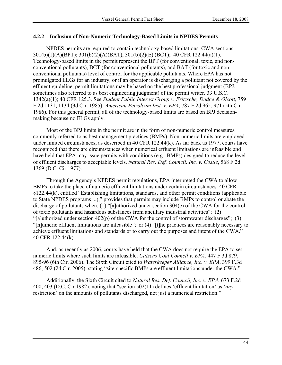#### **4.2.2 Inclusion of Non-Numeric Technology-Based Limits in NPDES Permits**

NPDES permits are required to contain technology-based limitations. CWA sections 301(b)(1)(A)(BPT); 301(b)(2)(A)(BAT), 301(b)(2)(E) (BCT); 40 CFR 122.44(a)(1). Technology-based limits in the permit represent the BPT (for conventional, toxic, and nonconventional pollutants), BCT (for conventional pollutants), and BAT (for toxic and nonconventional pollutants) level of control for the applicable pollutants. Where EPA has not promulgated ELGs for an industry, or if an operator is discharging a pollutant not covered by the effluent guideline, permit limitations may be based on the best professional judgment (BPJ, sometimes also referred to as best engineering judgment) of the permit writer. 33 U.S.C. 1342(a)(1); 40 CFR 125.3. See *Student Public Interest Group v. Fritzsche, Dodge & Olcott*, 759 F.2d 1131, 1134 (3d Cir. 1985); *American Petroleum Inst. v. EPA*, 787 F.2d 965, 971 (5th Cir. 1986). For this general permit, all of the technology-based limits are based on BPJ decisionmaking because no ELGs apply.

Most of the BPJ limits in the permit are in the form of non-numeric control measures, commonly referred to as best management practices (BMPs). Non-numeric limits are employed under limited circumstances, as described in 40 CFR 122.44(k). As far back as 1977, courts have recognized that there are circumstances when numerical effluent limitations are infeasible and have held that EPA may issue permits with conditions (e.g., BMPs) designed to reduce the level of effluent discharges to acceptable levels. *Natural Res. Def. Council, Inc. v. Costle*, 568 F.2d 1369 (D.C. Cir.1977).

Through the Agency's NPDES permit regulations, EPA interpreted the CWA to allow BMPs to take the place of numeric effluent limitations under certain circumstances. 40 CFR §122.44(k), entitled "Establishing limitations, standards, and other permit conditions (applicable to State NPDES programs ...)," provides that permits may include BMPs to control or abate the discharge of pollutants when: (1) "[a]uthorized under section 304(e) of the CWA for the control of toxic pollutants and hazardous substances from ancillary industrial activities"; (2) "[a]uthorized under section  $402(p)$  of the CWA for the control of stormwater discharges"; (3) "[n]umeric effluent limitations are infeasible"; or (4) "[t]he practices are reasonably necessary to achieve effluent limitations and standards or to carry out the purposes and intent of the CWA." 40 CFR 122.44(k).

And, as recently as 2006, courts have held that the CWA does not require the EPA to set numeric limits where such limits are infeasible. *Citizens Coal Council v. EPA*, 447 F.3d 879, 895-96 (6th Cir. 2006). The Sixth Circuit cited to *Waterkeeper Alliance, Inc. v. EPA*, 399 F.3d 486, 502 (2d Cir. 2005), stating "site-specific BMPs are effluent limitations under the CWA."

Additionally, the Sixth Circuit cited to *Natural Res. Def. Council, Inc. v. EPA*, 673 F.2d 400, 403 (D.C. Cir.1982), noting that "section 502(11) defines 'effluent limitation' as '*any* restriction' on the amounts of pollutants discharged, not just a numerical restriction."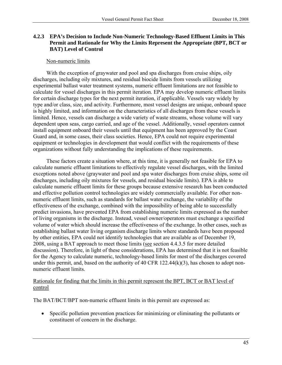### **4.2.3 EPA's Decision to Include Non-Numeric Technology-Based Effluent Limits in This Permit and Rationale for Why the Limits Represent the Appropriate (BPT, BCT or BAT) Level of Control**

#### Non-numeric limits

With the exception of graywater and pool and spa discharges from cruise ships, oily discharges, including oily mixtures, and residual biocide limits from vessels utilizing experimental ballast water treatment systems, numeric effluent limitations are not feasible to calculate for vessel discharges in this permit iteration. EPA may develop numeric effluent limits for certain discharge types for the next permit iteration, if applicable. Vessels vary widely by type and/or class, size, and activity. Furthermore, most vessel designs are unique, onboard space is highly limited, and information on the characteristics of all discharges from these vessels is limited. Hence, vessels can discharge a wide variety of waste streams, whose volume will vary dependent upon seas, cargo carried, and age of the vessel. Additionally, vessel operators cannot install equipment onboard their vessels until that equipment has been approved by the Coast Guard and, in some cases, their class societies. Hence, EPA could not require experimental equipment or technologies in development that would conflict with the requirements of these organizations without fully understanding the implications of these requirements.

These factors create a situation where, at this time, it is generally not feasible for EPA to calculate numeric effluent limitations to effectively regulate vessel discharges, with the limited exceptions noted above (graywater and pool and spa water discharges from cruise ships, some oil discharges, including oily mixtures for vessels, and residual biocide limits). EPA is able to calculate numeric effluent limits for these groups because extensive research has been conducted and effective pollution control technologies are widely commercially available. For other nonnumeric effluent limits, such as standards for ballast water exchange, the variability of the effectiveness of the exchange, combined with the impossibility of being able to successfully predict invasions, have prevented EPA from establishing numeric limits expressed as the number of living organisms in the discharge. Instead, vessel owner/operators must exchange a specified volume of water which should increase the effectiveness of the exchange. In other cases, such as establishing ballast water living organism discharge limits where standards have been proposed by other entities, EPA could not identify technologies that are available as of December 19, 2008, using a BAT approach to meet those limits (see section 4.4.3.5 for more detailed discussion). Therefore, in light of these considerations, EPA has determined that it is not feasible for the Agency to calculate numeric, technology-based limits for most of the discharges covered under this permit, and, based on the authority of 40 CFR 122.44(k)(3), has chosen to adopt nonnumeric effluent limits.

#### Rationale for finding that the limits in this permit represent the BPT, BCT or BAT level of control

The BAT/BCT/BPT non-numeric effluent limits in this permit are expressed as:

• Specific pollution prevention practices for minimizing or eliminating the pollutants or constituent of concern in the discharge.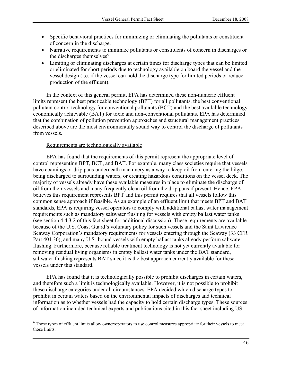- Specific behavioral practices for minimizing or eliminating the pollutants or constituent of concern in the discharge.
- Narrative requirements to minimize pollutants or constituents of concern in discharges or the discharges themselves $<sup>6</sup>$  $<sup>6</sup>$  $<sup>6</sup>$ </sup>
- Limiting or eliminating discharges at certain times for discharge types that can be limited or eliminated for short periods due to technology available on board the vessel and the vessel design (i.e. if the vessel can hold the discharge type for limited periods or reduce production of the effluent).

In the context of this general permit, EPA has determined these non-numeric effluent limits represent the best practicable technology (BPT) for all pollutants, the best conventional pollutant control technology for conventional pollutants (BCT) and the best available technology economically achievable (BAT) for toxic and non-conventional pollutants. EPA has determined that the combination of pollution prevention approaches and structural management practices described above are the most environmentally sound way to control the discharge of pollutants from vessels.

#### Requirements are technologically available

 $\overline{a}$ 

EPA has found that the requirements of this permit represent the appropriate level of control representing BPT, BCT, and BAT. For example, many class societies require that vessels have coamings or drip pans underneath machinery as a way to keep oil from entering the bilge, being discharged to surrounding waters, or creating hazardous conditions on the vessel deck. The majority of vessels already have these available measures in place to eliminate the discharge of oil from their vessels and many frequently clean oil from the drip pans if present. Hence, EPA believes this requirement represents BPT and this permit requires that all vessels follow this common sense approach if feasible. As an example of an effluent limit that meets BPT and BAT standards, EPA is requiring vessel operators to comply with additional ballast water management requirements such as mandatory saltwater flushing for vessels with empty ballast water tanks (see section 4.4.3.2 of this fact sheet for additional discussion). These requirements are available because of the U.S. Coast Guard's voluntary policy for such vessels and the Saint Lawrence Seaway Corporation's mandatory requirements for vessels entering through the Seaway (33 CFR Part 401.30), and many U.S.-bound vessels with empty ballast tanks already perform saltwater flushing. Furthermore, because reliable treatment technology is not yet currently available for removing residual living organisms in empty ballast water tanks under the BAT standard, saltwater flushing represents BAT since it is the best approach currently available for these vessels under this standard.

EPA has found that it is technologically possible to prohibit discharges in certain waters, and therefore such a limit is technologically available. However, it is not possible to prohibit these discharge categories under all circumstances. EPA decided which discharge types to prohibit in certain waters based on the environmental impacts of discharges and technical information as to whether vessels had the capacity to hold certain discharge types. These sources of information included technical experts and publications cited in this fact sheet including US

<span id="page-6-0"></span><sup>&</sup>lt;sup>6</sup> These types of effluent limits allow owner/operators to use control measures appropriate for their vessels to meet those limits.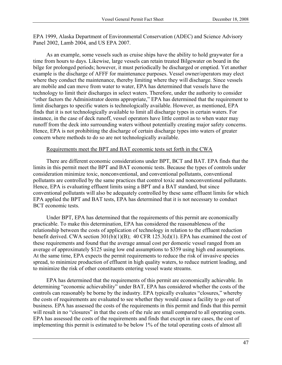EPA 1999, Alaska Department of Environmental Conservation (ADEC) and Science Advisory Panel 2002, Lamb 2004, and US EPA 2007.

As an example, some vessels such as cruise ships have the ability to hold graywater for a time from hours to days. Likewise, large vessels can retain treated Bilgewater on board in the bilge for prolonged periods; however, it must periodically be discharged or emptied. Yet another example is the discharge of AFFF for maintenance purposes. Vessel owner/operators may elect where they conduct the maintenance, thereby limiting where they will discharge. Since vessels are mobile and can move from water to water, EPA has determined that vessels have the technology to limit their discharges in select waters. Therefore, under the authority to consider "other factors the Administrator deems appropriate," EPA has determined that the requirement to limit discharges to specific waters is technologically available. However, as mentioned, EPA finds that it is not technologically available to limit all discharge types in certain waters. For instance, in the case of deck runoff, vessel operators have little control as to when water may runoff from the deck into surrounding waters without potentially creating major safety concerns. Hence, EPA is not prohibiting the discharge of certain discharge types into waters of greater concern where methods to do so are not technologically available.

#### Requirements meet the BPT and BAT economic tests set forth in the CWA

There are different economic considerations under BPT, BCT and BAT. EPA finds that the limits in this permit meet the BPT and BAT economic tests. Because the types of controls under consideration minimize toxic, nonconventional, and conventional pollutants, conventional pollutants are controlled by the same practices that control toxic and nonconventional pollutants. Hence, EPA is evaluating effluent limits using a BPT and a BAT standard, but since conventional pollutants will also be adequately controlled by these same effluent limits for which EPA applied the BPT and BAT tests, EPA has determined that it is not necessary to conduct BCT economic tests.

Under BPT, EPA has determined that the requirements of this permit are economically practicable. To make this determination, EPA has considered the reasonableness of the relationship between the costs of application of technology in relation to the effluent reduction benefit derived. CWA section  $301(b)(1)(B)$ ; 40 CFR  $125.3(d)(1)$ . EPA has examined the cost of these requirements and found that the average annual cost per domestic vessel ranged from an average of approximately \$125 using low end assumptions to \$359 using high end assumptions. At the same time, EPA expects the permit requirements to reduce the risk of invasive species spread, to minimize production of effluent in high quality waters, to reduce nutrient loading, and to minimize the risk of other constituents entering vessel waste streams.

EPA has determined that the requirements of this permit are economically achievable. In determining "economic achievability" under BAT, EPA has considered whether the costs of the controls can reasonably be borne by the industry. EPA typically evaluates "closures," whereby the costs of requirements are evaluated to see whether they would cause a facility to go out of business. EPA has assessed the costs of the requirements in this permit and finds that this permit will result in no "closures" in that the costs of the rule are small compared to all operating costs. EPA has assessed the costs of the requirements and finds that except in rare cases, the cost of implementing this permit is estimated to be below 1% of the total operating costs of almost all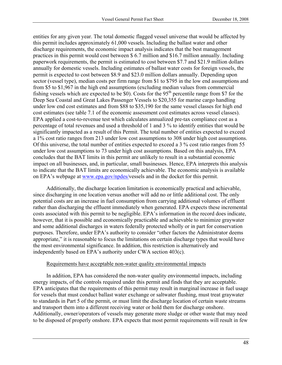entities for any given year. The total domestic flagged vessel universe that would be affected by this permit includes approximately 61,000 vessels. Including the ballast water and other discharge requirements, the economic impact analysis indicates that the best management practices in this permit would cost between \$ 6.7 million and \$16.7 million annually. Including paperwork requirements, the permit is estimated to cost between \$7.7 and \$21.9 million dollars annually for domestic vessels. Including estimates of ballast water costs for foreign vessels, the permit is expected to cost between \$8.9 and \$23.0 million dollars annually. Depending upon sector (vessel type), median costs per firm range from \$1 to \$795 in the low end assumptions and from \$5 to \$1,967 in the high end assumptions (excluding median values from commercial fishing vessels which are expected to be  $\$0$ ). Costs for the 95<sup>th</sup> percentile range from  $\$7$  for the Deep Sea Coastal and Great Lakes Passenger Vessels to \$20,355 for marine cargo handling under low end cost estimates and from \$88 to \$35,190 for the same vessel classes for high end cost estimates (see table 7.1 of the economic assessment cost estimates across vessel classes). EPA applied a cost-to-revenue test which calculates annualized pre-tax compliance cost as a percentage of total revenues and used a threshold of 1 and 3 % to identify entities that would be significantly impacted as a result of this Permit. The total number of entities expected to exceed a 1% cost ratio ranges from 213 under low cost assumptions to 308 under high cost assumptions. Of this universe, the total number of entities expected to exceed a 3 % cost ratio ranges from 55 under low cost assumptions to 73 under high cost assumptions. Based on this analysis, EPA concludes that the BAT limits in this permit are unlikely to result in a substantial economic impact on all businesses, and, in particular, small businesses. Hence, EPA interprets this analysis to indicate that the BAT limits are economically achievable. The economic analysis is available on EPA's webpage at [www.epa.gov/npdes/v](http://www.epa.gov/npdes/)essels and in the docket for this permit.

Additionally, the discharge location limitation is economically practical and achievable, since discharging in one location versus another will add no or little additional cost. The only potential costs are an increase in fuel consumption from carrying additional volumes of effluent rather than discharging the effluent immediately when generated. EPA expects these incremental costs associated with this permit to be negligible. EPA's information in the record does indicate, however, that it is possible and economically practicable and achievable to minimize graywater and some additional discharges in waters federally protected wholly or in part for conservation purposes. Therefore, under EPA's authority to consider "other factors the Administrator deems appropriate," it is reasonable to focus the limitations on certain discharge types that would have the most environmental significance. In addition, this restriction is alternatively and independently based on EPA's authority under CWA section 403(c).

#### Requirements have acceptable non-water quality environmental impacts

In addition, EPA has considered the non-water quality environmental impacts, including energy impacts, of the controls required under this permit and finds that they are acceptable. EPA anticipates that the requirements of this permit may result in marginal increase in fuel usage for vessels that must conduct ballast water exchange or saltwater flushing, must treat graywater to standards in Part 5 of the permit, or must limit the discharge location of certain waste streams and transport them into a different receiving water or hold them for discharge onshore. Additionally, owner/operators of vessels may generate more sludge or other waste that may need to be disposed of properly onshore. EPA expects that most permit requirements will result in few